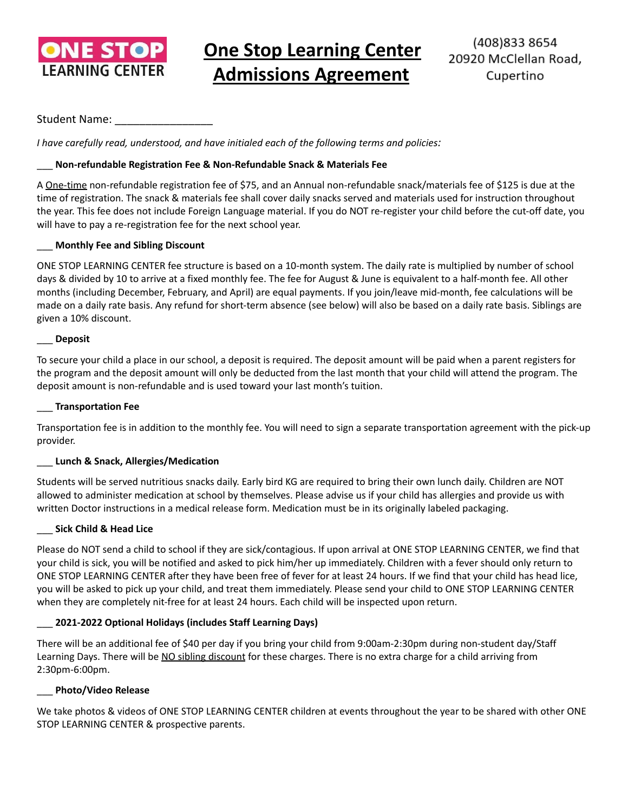

# **One Stop Learning Center Admissions Agreement**

# Student Name:

*I have carefully read, understood, and have initialed each of the following terms and policies:*

# \_\_\_ **Non-refundable Registration Fee & Non-Refundable Snack & Materials Fee**

A One-time non-refundable registration fee of \$75, and an Annual non-refundable snack/materials fee of \$125 is due at the time of registration. The snack & materials fee shall cover daily snacks served and materials used for instruction throughout the year. This fee does not include Foreign Language material. If you do NOT re-register your child before the cut-off date, you will have to pay a re-registration fee for the next school year.

# \_\_\_ **Monthly Fee and Sibling Discount**

ONE STOP LEARNING CENTER fee structure is based on a 10-month system. The daily rate is multiplied by number of school days & divided by 10 to arrive at a fixed monthly fee. The fee for August & June is equivalent to a half-month fee. All other months (including December, February, and April) are equal payments. If you join/leave mid-month, fee calculations will be made on a daily rate basis. Any refund for short-term absence (see below) will also be based on a daily rate basis. Siblings are given a 10% discount.

#### \_\_\_ **Deposit**

To secure your child a place in our school, a deposit is required. The deposit amount will be paid when a parent registers for the program and the deposit amount will only be deducted from the last month that your child will attend the program. The deposit amount is non-refundable and is used toward your last month's tuition.

#### \_\_\_ **Transportation Fee**

Transportation fee is in addition to the monthly fee. You will need to sign a separate transportation agreement with the pick-up provider.

# \_\_\_ **Lunch & Snack, Allergies/Medication**

Students will be served nutritious snacks daily. Early bird KG are required to bring their own lunch daily. Children are NOT allowed to administer medication at school by themselves. Please advise us if your child has allergies and provide us with written Doctor instructions in a medical release form. Medication must be in its originally labeled packaging.

#### \_\_\_ **Sick Child & Head Lice**

Please do NOT send a child to school if they are sick/contagious. If upon arrival at ONE STOP LEARNING CENTER, we find that your child is sick, you will be notified and asked to pick him/her up immediately. Children with a fever should only return to ONE STOP LEARNING CENTER after they have been free of fever for at least 24 hours. If we find that your child has head lice, you will be asked to pick up your child, and treat them immediately. Please send your child to ONE STOP LEARNING CENTER when they are completely nit-free for at least 24 hours. Each child will be inspected upon return.

# \_\_\_ **2021-2022 Optional Holidays (includes Staff Learning Days)**

There will be an additional fee of \$40 per day if you bring your child from 9:00am-2:30pm during non-student day/Staff Learning Days. There will be NO sibling discount for these charges. There is no extra charge for a child arriving from 2:30pm-6:00pm.

# \_\_\_ **Photo/Video Release**

We take photos & videos of ONE STOP LEARNING CENTER children at events throughout the year to be shared with other ONE STOP LEARNING CENTER & prospective parents.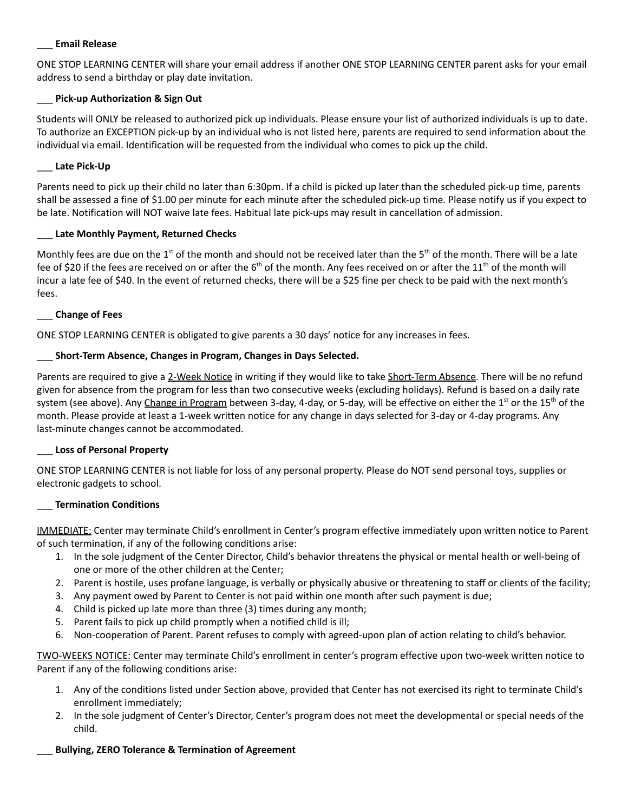#### \_\_\_ **Email Release**

ONE STOP LEARNING CENTER will share your email address if another ONE STOP LEARNING CENTER parent asks for your email address to send a birthday or play date invitation.

# \_\_\_ **Pick-up Authorization & Sign Out**

Students will ONLY be released to authorized pick up individuals. Please ensure your list of authorized individuals is up to date. To authorize an EXCEPTION pick-up by an individual who is not listed here, parents are required to send information about the individual via email. Identification will be requested from the individual who comes to pick up the child.

#### \_\_\_ **Late Pick-Up**

Parents need to pick up their child no later than 6:30pm. If a child is picked up later than the scheduled pick-up time, parents shall be assessed a fine of \$1.00 per minute for each minute after the scheduled pick-up time. Please notify us if you expect to be late. Notification will NOT waive late fees. Habitual late pick-ups may result in cancellation of admission.

#### \_\_\_ **Late Monthly Payment, Returned Checks**

Monthly fees are due on the 1<sup>st</sup> of the month and should not be received later than the 5<sup>th</sup> of the month. There will be a late fee of \$20 if the fees are received on or after the  $6<sup>th</sup>$  of the month. Any fees received on or after the 11<sup>th</sup> of the month will incur a late fee of \$40. In the event of returned checks, there will be a \$25 fine per check to be paid with the next month's fees.

#### \_\_\_ **Change of Fees**

ONE STOP LEARNING CENTER is obligated to give parents a 30 days' notice for any increases in fees.

#### \_\_\_ **Short-Term Absence, Changes in Program, Changes in Days Selected.**

Parents are required to give a 2-Week Notice in writing if they would like to take Short-Term Absence. There will be no refund given for absence from the program for less than two consecutive weeks (excluding holidays). Refund is based on a daily rate system (see above). Any Change in Program between 3-day, 4-day, or 5-day, will be effective on either the 1s<sup>t</sup> or the 15<sup>th</sup> of the month. Please provide at least a 1-week written notice for any change in days selected for 3-day or 4-day programs. Any last-minute changes cannot be accommodated.

#### \_\_\_ **Loss of Personal Property**

ONE STOP LEARNING CENTER is not liable for loss of any personal property. Please do NOT send personal toys, supplies or electronic gadgets to school.

#### \_\_\_ **Termination Conditions**

IMMEDIATE: Center may terminate Child's enrollment in Center's program effective immediately upon written notice to Parent of such termination, if any of the following conditions arise:

- 1. In the sole judgment of the Center Director, Child's behavior threatens the physical or mental health or well-being of one or more of the other children at the Center;
- 2. Parent is hostile, uses profane language, is verbally or physically abusive or threatening to staff or clients of the facility;
- 3. Any payment owed by Parent to Center is not paid within one month after such payment is due;
- 4. Child is picked up late more than three (3) times during any month;
- 5. Parent fails to pick up child promptly when a notified child is ill;
- 6. Non-cooperation of Parent. Parent refuses to comply with agreed-upon plan of action relating to child's behavior.

TWO-WEEKS NOTICE: Center may terminate Child's enrollment in center's program effective upon two-week written notice to Parent if any of the following conditions arise:

- 1. Any of the conditions listed under Section above, provided that Center has not exercised its right to terminate Child's enrollment immediately;
- 2. In the sole judgment of Center's Director, Center's program does not meet the developmental or special needs of the child.

#### \_\_\_ **Bullying, ZERO Tolerance & Termination of Agreement**